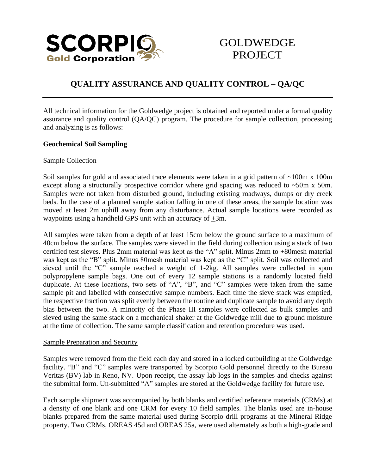

# GOLDWEDGE **PROJECT**

## **QUALITY ASSURANCE AND QUALITY CONTROL – QA/QC**

All technical information for the Goldwedge project is obtained and reported under a formal quality assurance and quality control (QA/QC) program. The procedure for sample collection, processing and analyzing is as follows:

## **Geochemical Soil Sampling**

### Sample Collection

Soil samples for gold and associated trace elements were taken in a grid pattern of ~100m x 100m except along a structurally prospective corridor where grid spacing was reduced to  $\sim$ 50m x 50m. Samples were not taken from disturbed ground, including existing roadways, dumps or dry creek beds. In the case of a planned sample station falling in one of these areas, the sample location was moved at least 2m uphill away from any disturbance. Actual sample locations were recorded as waypoints using a handheld GPS unit with an accuracy of +3m.

All samples were taken from a depth of at least 15cm below the ground surface to a maximum of 40cm below the surface. The samples were sieved in the field during collection using a stack of two certified test sieves. Plus 2mm material was kept as the "A" split. Minus 2mm to +80mesh material was kept as the "B" split. Minus 80mesh material was kept as the "C" split. Soil was collected and sieved until the "C" sample reached a weight of 1-2kg. All samples were collected in spun polypropylene sample bags. One out of every 12 sample stations is a randomly located field duplicate. At these locations, two sets of "A", "B", and "C" samples were taken from the same sample pit and labelled with consecutive sample numbers. Each time the sieve stack was emptied, the respective fraction was split evenly between the routine and duplicate sample to avoid any depth bias between the two. A minority of the Phase III samples were collected as bulk samples and sieved using the same stack on a mechanical shaker at the Goldwedge mill due to ground moisture at the time of collection. The same sample classification and retention procedure was used.

#### Sample Preparation and Security

Samples were removed from the field each day and stored in a locked outbuilding at the Goldwedge facility. "B" and "C" samples were transported by Scorpio Gold personnel directly to the Bureau Veritas (BV) lab in Reno, NV. Upon receipt, the assay lab logs in the samples and checks against the submittal form. Un-submitted "A" samples are stored at the Goldwedge facility for future use.

Each sample shipment was accompanied by both blanks and certified reference materials (CRMs) at a density of one blank and one CRM for every 10 field samples. The blanks used are in-house blanks prepared from the same material used during Scorpio drill programs at the Mineral Ridge property. Two CRMs, OREAS 45d and OREAS 25a, were used alternately as both a high-grade and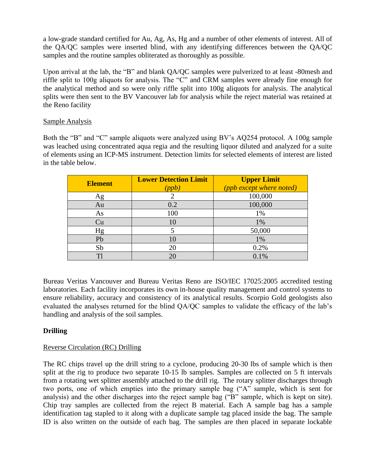a low-grade standard certified for Au, Ag, As, Hg and a number of other elements of interest. All of the QA/QC samples were inserted blind, with any identifying differences between the QA/QC samples and the routine samples obliterated as thoroughly as possible.

Upon arrival at the lab, the "B" and blank QA/QC samples were pulverized to at least -80mesh and riffle split to 100g aliquots for analysis. The "C" and CRM samples were already fine enough for the analytical method and so were only riffle split into 100g aliquots for analysis. The analytical splits were then sent to the BV Vancouver lab for analysis while the reject material was retained at the Reno facility

## Sample Analysis

Both the "B" and "C" sample aliquots were analyzed using BV's AQ254 protocol. A 100g sample was leached using concentrated aqua regia and the resulting liquor diluted and analyzed for a suite of elements using an ICP-MS instrument. Detection limits for selected elements of interest are listed in the table below.

| <b>Element</b> | <b>Lower Detection Limit</b><br>ppb J | <b>Upper Limit</b><br>(ppb except where noted) |
|----------------|---------------------------------------|------------------------------------------------|
| Ag             |                                       | 100,000                                        |
| Au             | 0.2                                   | 100,000                                        |
| As             | 100                                   | 1%                                             |
| Cu             | 10                                    | 1%                                             |
| Hg             |                                       | 50,000                                         |
| Pb             | 10                                    | 1%                                             |
| Sb             | 20                                    | 0.2%                                           |
| T1             | 20                                    | 0.1%                                           |

Bureau Veritas Vancouver and Bureau Veritas Reno are ISO/IEC 17025:2005 accredited testing laboratories. Each facility incorporates its own in-house quality management and control systems to ensure reliability, accuracy and consistency of its analytical results. Scorpio Gold geologists also evaluated the analyses returned for the blind QA/QC samples to validate the efficacy of the lab's handling and analysis of the soil samples.

## **Drilling**

## Reverse Circulation (RC) Drilling

The RC chips travel up the drill string to a cyclone, producing 20-30 lbs of sample which is then split at the rig to produce two separate 10-15 lb samples. Samples are collected on 5 ft intervals from a rotating wet splitter assembly attached to the drill rig. The rotary splitter discharges through two ports, one of which empties into the primary sample bag ("A" sample, which is sent for analysis) and the other discharges into the reject sample bag ("B" sample, which is kept on site). Chip tray samples are collected from the reject B material. Each A sample bag has a sample identification tag stapled to it along with a duplicate sample tag placed inside the bag. The sample ID is also written on the outside of each bag. The samples are then placed in separate lockable